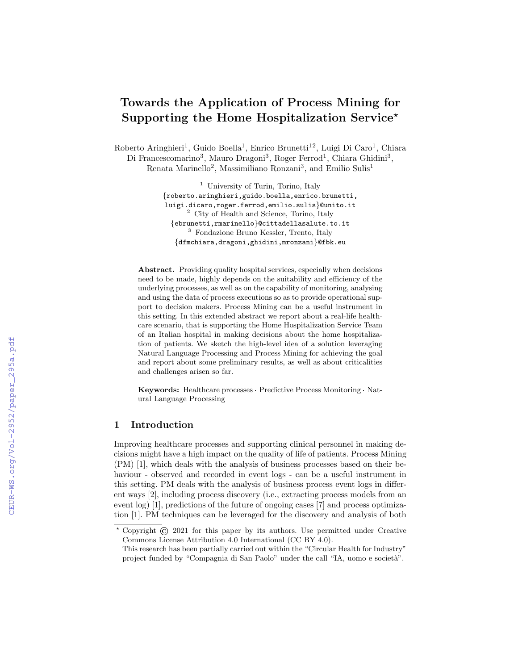# Towards the Application of Process Mining for Supporting the Home Hospitalization Service<sup>\*</sup>

Roberto Aringhieri<sup>1</sup>, Guido Boella<sup>1</sup>, Enrico Brunetti<sup>12</sup>, Luigi Di Caro<sup>1</sup>, Chiara Di Francescomarino<sup>3</sup>, Mauro Dragoni<sup>3</sup>, Roger Ferrod<sup>1</sup>, Chiara Ghidini<sup>3</sup>, Renata Marinello<sup>2</sup>, Massimiliano Ronzani<sup>3</sup>, and Emilio Sulis<sup>1</sup>

> <sup>1</sup> University of Turin, Torino, Italy {roberto.aringhieri,guido.boella,enrico.brunetti, luigi.dicaro,roger.ferrod,emilio.sulis}@unito.it <sup>2</sup> City of Health and Science, Torino, Italy {ebrunetti,rmarinello}@cittadellasalute.to.it <sup>3</sup> Fondazione Bruno Kessler, Trento, Italy {dfmchiara,dragoni,ghidini,mronzani}@fbk.eu

Abstract. Providing quality hospital services, especially when decisions need to be made, highly depends on the suitability and efficiency of the underlying processes, as well as on the capability of monitoring, analysing and using the data of process executions so as to provide operational support to decision makers. Process Mining can be a useful instrument in this setting. In this extended abstract we report about a real-life healthcare scenario, that is supporting the Home Hospitalization Service Team of an Italian hospital in making decisions about the home hospitalization of patients. We sketch the high-level idea of a solution leveraging Natural Language Processing and Process Mining for achieving the goal and report about some preliminary results, as well as about criticalities and challenges arisen so far.

Keywords: Healthcare processes · Predictive Process Monitoring · Natural Language Processing

# 1 Introduction

Improving healthcare processes and supporting clinical personnel in making decisions might have a high impact on the quality of life of patients. Process Mining (PM) [1], which deals with the analysis of business processes based on their behaviour - observed and recorded in event logs - can be a useful instrument in this setting. PM deals with the analysis of business process event logs in different ways [2], including process discovery (i.e., extracting process models from an event log) [1], predictions of the future of ongoing cases [7] and process optimization [1]. PM techniques can be leveraged for the discovery and analysis of both

<sup>⋆</sup> Copyright © 2021 for this paper by its authors. Use permitted under Creative Commons License Attribution 4.0 International (CC BY 4.0).

This research has been partially carried out within the "Circular Health for Industry" project funded by "Compagnia di San Paolo" under the call "IA, uomo e società".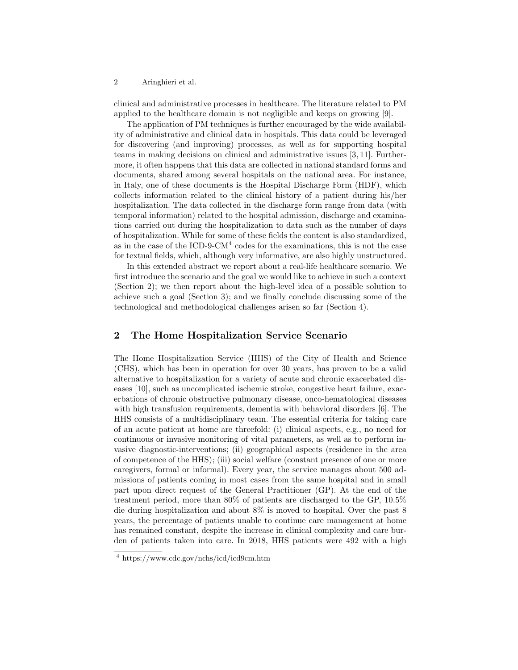2 Aringhieri et al.

clinical and administrative processes in healthcare. The literature related to PM applied to the healthcare domain is not negligible and keeps on growing [9].

The application of PM techniques is further encouraged by the wide availability of administrative and clinical data in hospitals. This data could be leveraged for discovering (and improving) processes, as well as for supporting hospital teams in making decisions on clinical and administrative issues [3, 11]. Furthermore, it often happens that this data are collected in national standard forms and documents, shared among several hospitals on the national area. For instance, in Italy, one of these documents is the Hospital Discharge Form (HDF), which collects information related to the clinical history of a patient during his/her hospitalization. The data collected in the discharge form range from data (with temporal information) related to the hospital admission, discharge and examinations carried out during the hospitalization to data such as the number of days of hospitalization. While for some of these fields the content is also standardized, as in the case of the ICD-9-CM<sup>4</sup> codes for the examinations, this is not the case for textual fields, which, although very informative, are also highly unstructured.

In this extended abstract we report about a real-life healthcare scenario. We first introduce the scenario and the goal we would like to achieve in such a context (Section 2); we then report about the high-level idea of a possible solution to achieve such a goal (Section 3); and we finally conclude discussing some of the technological and methodological challenges arisen so far (Section 4).

## 2 The Home Hospitalization Service Scenario

The Home Hospitalization Service (HHS) of the City of Health and Science (CHS), which has been in operation for over 30 years, has proven to be a valid alternative to hospitalization for a variety of acute and chronic exacerbated diseases [10], such as uncomplicated ischemic stroke, congestive heart failure, exacerbations of chronic obstructive pulmonary disease, onco-hematological diseases with high transfusion requirements, dementia with behavioral disorders [6]. The HHS consists of a multidisciplinary team. The essential criteria for taking care of an acute patient at home are threefold: (i) clinical aspects, e.g., no need for continuous or invasive monitoring of vital parameters, as well as to perform invasive diagnostic-interventions; (ii) geographical aspects (residence in the area of competence of the HHS); (iii) social welfare (constant presence of one or more caregivers, formal or informal). Every year, the service manages about 500 admissions of patients coming in most cases from the same hospital and in small part upon direct request of the General Practitioner (GP). At the end of the treatment period, more than 80% of patients are discharged to the GP, 10.5% die during hospitalization and about 8% is moved to hospital. Over the past 8 years, the percentage of patients unable to continue care management at home has remained constant, despite the increase in clinical complexity and care burden of patients taken into care. In 2018, HHS patients were 492 with a high

<sup>4</sup> https://www.cdc.gov/nchs/icd/icd9cm.htm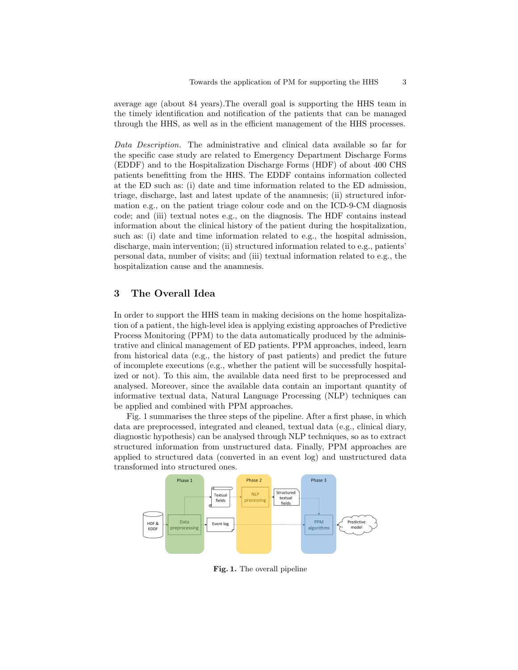average age (about 84 years).The overall goal is supporting the HHS team in the timely identification and notification of the patients that can be managed through the HHS, as well as in the efficient management of the HHS processes.

Data Description. The administrative and clinical data available so far for the specific case study are related to Emergency Department Discharge Forms (EDDF) and to the Hospitalization Discharge Forms (HDF) of about 400 CHS patients benefitting from the HHS. The EDDF contains information collected at the ED such as: (i) date and time information related to the ED admission, triage, discharge, last and latest update of the anamnesis; (ii) structured information e.g., on the patient triage colour code and on the ICD-9-CM diagnosis code; and (iii) textual notes e.g., on the diagnosis. The HDF contains instead information about the clinical history of the patient during the hospitalization, such as: (i) date and time information related to e.g., the hospital admission, discharge, main intervention; (ii) structured information related to e.g., patients' personal data, number of visits; and (iii) textual information related to e.g., the hospitalization cause and the anamnesis.

## 3 The Overall Idea

In order to support the HHS team in making decisions on the home hospitalization of a patient, the high-level idea is applying existing approaches of Predictive Process Monitoring (PPM) to the data automatically produced by the administrative and clinical management of ED patients. PPM approaches, indeed, learn from historical data (e.g., the history of past patients) and predict the future of incomplete executions (e.g., whether the patient will be successfully hospitalized or not). To this aim, the available data need first to be preprocessed and analysed. Moreover, since the available data contain an important quantity of informative textual data, Natural Language Processing (NLP) techniques can be applied and combined with PPM approaches.

Fig. 1 summarises the three steps of the pipeline. After a first phase, in which data are preprocessed, integrated and cleaned, textual data (e.g., clinical diary, diagnostic hypothesis) can be analysed through NLP techniques, so as to extract structured information from unstructured data. Finally, PPM approaches are applied to structured data (converted in an event log) and unstructured data transformed into structured ones.



Fig. 1. The overall pipeline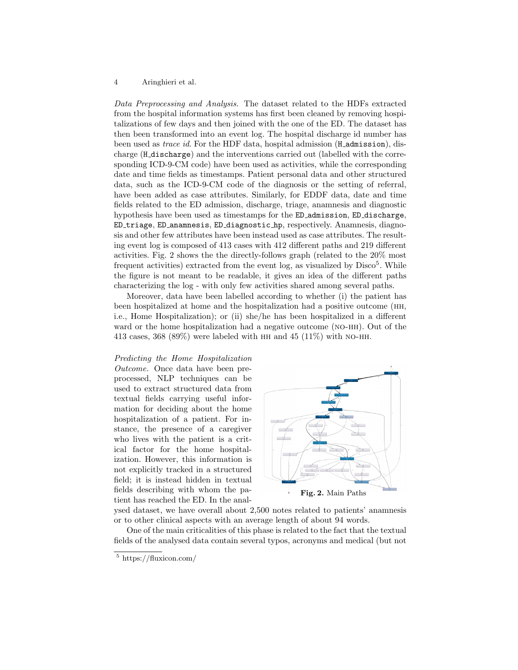#### 4 Aringhieri et al.

Data Preprocessing and Analysis. The dataset related to the HDFs extracted from the hospital information systems has first been cleaned by removing hospitalizations of few days and then joined with the one of the ED. The dataset has then been transformed into an event log. The hospital discharge id number has been used as *trace id.* For the HDF data, hospital admission (H\_admission), discharge (H discharge) and the interventions carried out (labelled with the corresponding ICD-9-CM code) have been used as activities, while the corresponding date and time fields as timestamps. Patient personal data and other structured data, such as the ICD-9-CM code of the diagnosis or the setting of referral, have been added as case attributes. Similarly, for EDDF data, date and time fields related to the ED admission, discharge, triage, anamnesis and diagnostic hypothesis have been used as timestamps for the ED admission, ED discharge, ED triage, ED anamnesis, ED diagnostic hp, respectively. Anamnesis, diagnosis and other few attributes have been instead used as case attributes. The resulting event log is composed of 413 cases with 412 different paths and 219 different activities. Fig. 2 shows the the directly-follows graph (related to the 20% most frequent activities) extracted from the event  $log$ , as visualized by  $Disco<sup>5</sup>$ . While the figure is not meant to be readable, it gives an idea of the different paths characterizing the log - with only few activities shared among several paths.

Moreover, data have been labelled according to whether (i) the patient has been hospitalized at home and the hospitalization had a positive outcome (hh, i.e., Home Hospitalization); or (ii) she/he has been hospitalized in a different ward or the home hospitalization had a negative outcome (no-hh). Out of the 413 cases,  $368 (89%)$  were labeled with HH and  $45 (11%)$  with NO-HH.

### Predicting the Home Hospitalization

Outcome. Once data have been preprocessed, NLP techniques can be used to extract structured data from textual fields carrying useful information for deciding about the home hospitalization of a patient. For instance, the presence of a caregiver who lives with the patient is a critical factor for the home hospitalization. However, this information is not explicitly tracked in a structured field; it is instead hidden in textual fields describing with whom the patient has reached the ED. In the anal-



ysed dataset, we have overall about 2,500 notes related to patients' anamnesis or to other clinical aspects with an average length of about 94 words.

One of the main criticalities of this phase is related to the fact that the textual fields of the analysed data contain several typos, acronyms and medical (but not

<sup>5</sup> https://fluxicon.com/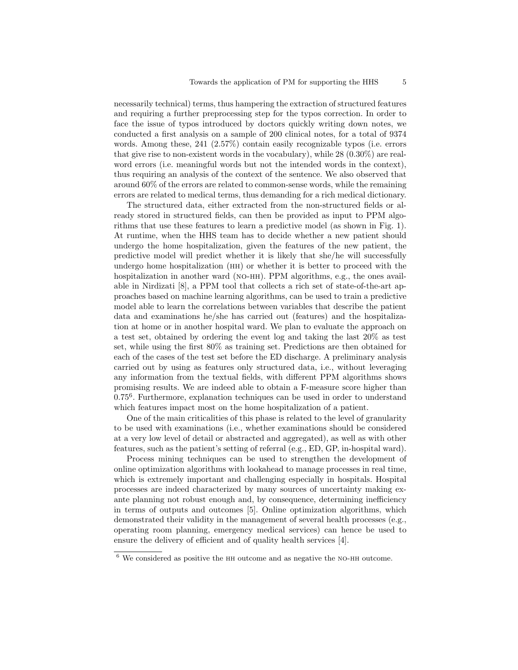necessarily technical) terms, thus hampering the extraction of structured features and requiring a further preprocessing step for the typos correction. In order to face the issue of typos introduced by doctors quickly writing down notes, we conducted a first analysis on a sample of 200 clinical notes, for a total of 9374 words. Among these, 241 (2.57%) contain easily recognizable typos (i.e. errors that give rise to non-existent words in the vocabulary), while 28 (0.30%) are realword errors (i.e. meaningful words but not the intended words in the context), thus requiring an analysis of the context of the sentence. We also observed that around 60% of the errors are related to common-sense words, while the remaining errors are related to medical terms, thus demanding for a rich medical dictionary.

The structured data, either extracted from the non-structured fields or already stored in structured fields, can then be provided as input to PPM algorithms that use these features to learn a predictive model (as shown in Fig. 1). At runtime, when the HHS team has to decide whether a new patient should undergo the home hospitalization, given the features of the new patient, the predictive model will predict whether it is likely that she/he will successfully undergo home hospitalization (hh) or whether it is better to proceed with the hospitalization in another ward (NO-HH). PPM algorithms, e.g., the ones available in Nirdizati [8], a PPM tool that collects a rich set of state-of-the-art approaches based on machine learning algorithms, can be used to train a predictive model able to learn the correlations between variables that describe the patient data and examinations he/she has carried out (features) and the hospitalization at home or in another hospital ward. We plan to evaluate the approach on a test set, obtained by ordering the event log and taking the last 20% as test set, while using the first 80% as training set. Predictions are then obtained for each of the cases of the test set before the ED discharge. A preliminary analysis carried out by using as features only structured data, i.e., without leveraging any information from the textual fields, with different PPM algorithms shows promising results. We are indeed able to obtain a F-measure score higher than 0.75<sup>6</sup> . Furthermore, explanation techniques can be used in order to understand which features impact most on the home hospitalization of a patient.

One of the main criticalities of this phase is related to the level of granularity to be used with examinations (i.e., whether examinations should be considered at a very low level of detail or abstracted and aggregated), as well as with other features, such as the patient's setting of referral (e.g., ED, GP, in-hospital ward).

Process mining techniques can be used to strengthen the development of online optimization algorithms with lookahead to manage processes in real time, which is extremely important and challenging especially in hospitals. Hospital processes are indeed characterized by many sources of uncertainty making exante planning not robust enough and, by consequence, determining inefficiency in terms of outputs and outcomes [5]. Online optimization algorithms, which demonstrated their validity in the management of several health processes (e.g., operating room planning, emergency medical services) can hence be used to ensure the delivery of efficient and of quality health services [4].

 $6$  We considered as positive the HH outcome and as negative the NO-HH outcome.